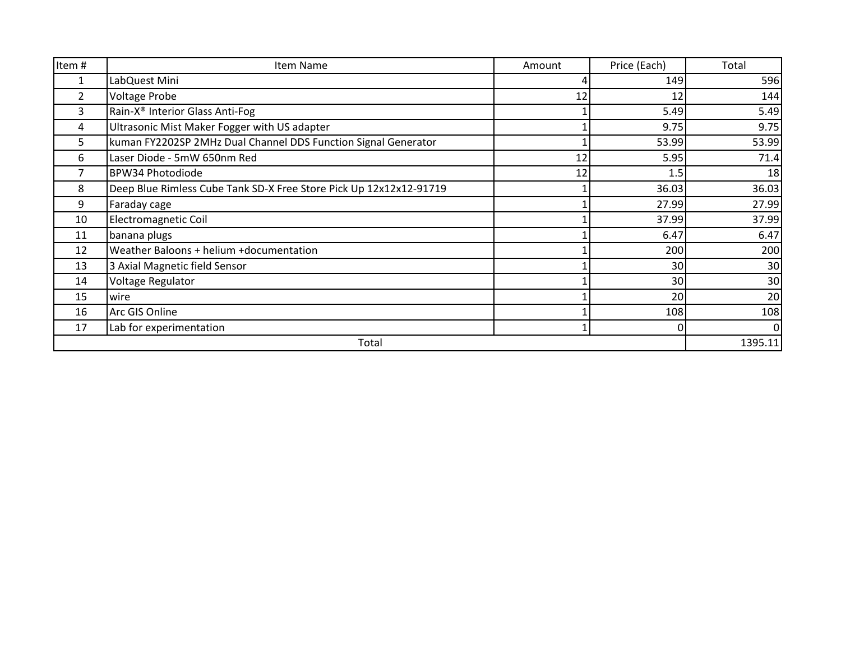| Item#          | Item Name                                                          | Amount | Price (Each) | Total           |
|----------------|--------------------------------------------------------------------|--------|--------------|-----------------|
| 1              | LabQuest Mini                                                      |        | 149          | 596             |
| $\overline{2}$ | <b>Voltage Probe</b>                                               | 12     | 12           | 144             |
| 3              | Rain-X <sup>®</sup> Interior Glass Anti-Fog                        |        | 5.49         | 5.49            |
| 4              | Ultrasonic Mist Maker Fogger with US adapter                       |        | 9.75         | 9.75            |
| 5              | kuman FY2202SP 2MHz Dual Channel DDS Function Signal Generator     |        | 53.99        | 53.99           |
| 6              | Laser Diode - 5mW 650nm Red                                        | 12     | 5.95         | 71.4            |
|                | <b>BPW34 Photodiode</b>                                            | 12     | 1.5          | 18              |
| 8              | Deep Blue Rimless Cube Tank SD-X Free Store Pick Up 12x12x12-91719 |        | 36.03        | 36.03           |
| 9              | Faraday cage                                                       |        | 27.99        | 27.99           |
| 10             | <b>Electromagnetic Coil</b>                                        |        | 37.99        | 37.99           |
| 11             | banana plugs                                                       |        | 6.47         | 6.47            |
| 12             | Weather Baloons + helium +documentation                            |        | 200          | 200             |
| 13             | 3 Axial Magnetic field Sensor                                      |        | 30           | 30              |
| 14             | Voltage Regulator                                                  |        | 30           | 30 <sup>°</sup> |
| 15             | wire                                                               |        | 20           | 20              |
| 16             | Arc GIS Online                                                     |        | 108          | 108             |
| 17             | Lab for experimentation                                            |        |              | $\Omega$        |
| Total          |                                                                    |        |              | 1395.11         |